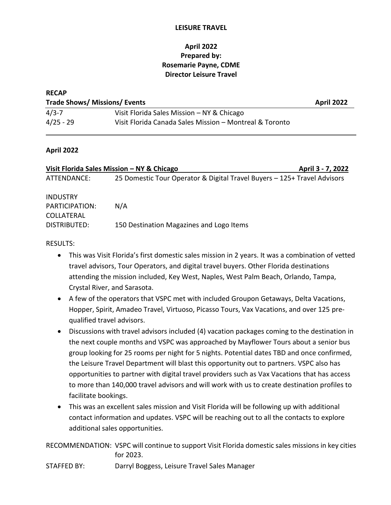### **LEISURE TRAVEL**

## **April 2022 Prepared by: Rosemarie Payne, CDME Director Leisure Travel**

| <b>RECAP</b>                         |                                                         |                   |  |  |
|--------------------------------------|---------------------------------------------------------|-------------------|--|--|
| <b>Trade Shows/ Missions/ Events</b> |                                                         | <b>April 2022</b> |  |  |
| $4/3 - 7$                            | Visit Florida Sales Mission - NY & Chicago              |                   |  |  |
| $4/25 - 29$                          | Visit Florida Canada Sales Mission - Montreal & Toronto |                   |  |  |

### **April 2022**

| Visit Florida Sales Mission – NY & Chicago             |                                                                          | April 3 - 7, 2022 |
|--------------------------------------------------------|--------------------------------------------------------------------------|-------------------|
| ATTENDANCE:                                            | 25 Domestic Tour Operator & Digital Travel Buyers - 125+ Travel Advisors |                   |
| <b>INDUSTRY</b><br>PARTICIPATION:<br><b>COLLATERAL</b> | N/A                                                                      |                   |
| DISTRIBUTED:                                           | 150 Destination Magazines and Logo Items                                 |                   |

### RESULTS:

- This was Visit Florida's first domestic sales mission in 2 years. It was a combination of vetted travel advisors, Tour Operators, and digital travel buyers. Other Florida destinations attending the mission included, Key West, Naples, West Palm Beach, Orlando, Tampa, Crystal River, and Sarasota.
- A few of the operators that VSPC met with included Groupon Getaways, Delta Vacations, Hopper, Spirit, Amadeo Travel, Virtuoso, Picasso Tours, Vax Vacations, and over 125 prequalified travel advisors.
- Discussions with travel advisors included (4) vacation packages coming to the destination in the next couple months and VSPC was approached by Mayflower Tours about a senior bus group looking for 25 rooms per night for 5 nights. Potential dates TBD and once confirmed, the Leisure Travel Department will blast this opportunity out to partners. VSPC also has opportunities to partner with digital travel providers such as Vax Vacations that has access to more than 140,000 travel advisors and will work with us to create destination profiles to facilitate bookings.
- This was an excellent sales mission and Visit Florida will be following up with additional contact information and updates. VSPC will be reaching out to all the contacts to explore additional sales opportunities.

RECOMMENDATION: VSPC will continue to support Visit Florida domestic sales missions in key cities for 2023.

STAFFED BY: Darryl Boggess, Leisure Travel Sales Manager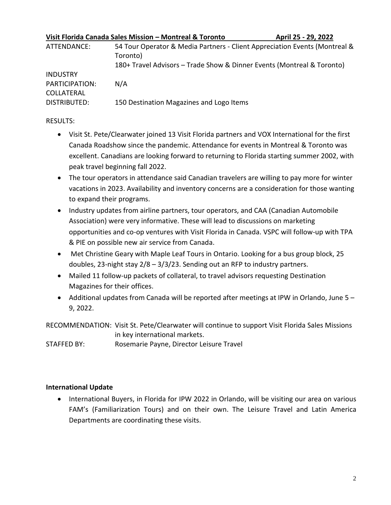| Visit Florida Canada Sales Mission - Montreal & Toronto |                                                                            | April 25 - 29, 2022 |
|---------------------------------------------------------|----------------------------------------------------------------------------|---------------------|
| ATTENDANCE:                                             | 54 Tour Operator & Media Partners - Client Appreciation Events (Montreal & |                     |
|                                                         | Toronto)                                                                   |                     |
|                                                         | 180+ Travel Advisors - Trade Show & Dinner Events (Montreal & Toronto)     |                     |
| <b>INDUSTRY</b>                                         |                                                                            |                     |
| PARTICIPATION:                                          | N/A                                                                        |                     |
| COLLATERAL                                              |                                                                            |                     |
| DISTRIBUTED:                                            | 150 Destination Magazines and Logo Items                                   |                     |

### RESULTS:

- Visit St. Pete/Clearwater joined 13 Visit Florida partners and VOX International for the first Canada Roadshow since the pandemic. Attendance for events in Montreal & Toronto was excellent. Canadians are looking forward to returning to Florida starting summer 2002, with peak travel beginning fall 2022.
- The tour operators in attendance said Canadian travelers are willing to pay more for winter vacations in 2023. Availability and inventory concerns are a consideration for those wanting to expand their programs.
- Industry updates from airline partners, tour operators, and CAA (Canadian Automobile Association) were very informative. These will lead to discussions on marketing opportunities and co-op ventures with Visit Florida in Canada. VSPC will follow-up with TPA & PIE on possible new air service from Canada.
- Met Christine Geary with Maple Leaf Tours in Ontario. Looking for a bus group block, 25 doubles, 23-night stay 2/8 – 3/3/23. Sending out an RFP to industry partners.
- Mailed 11 follow-up packets of collateral, to travel advisors requesting Destination Magazines for their offices.
- Additional updates from Canada will be reported after meetings at IPW in Orlando, June 5 9, 2022.

RECOMMENDATION: Visit St. Pete/Clearwater will continue to support Visit Florida Sales Missions in key international markets.

STAFFED BY: Rosemarie Payne, Director Leisure Travel

### **International Update**

• International Buyers, in Florida for IPW 2022 in Orlando, will be visiting our area on various FAM's (Familiarization Tours) and on their own. The Leisure Travel and Latin America Departments are coordinating these visits.